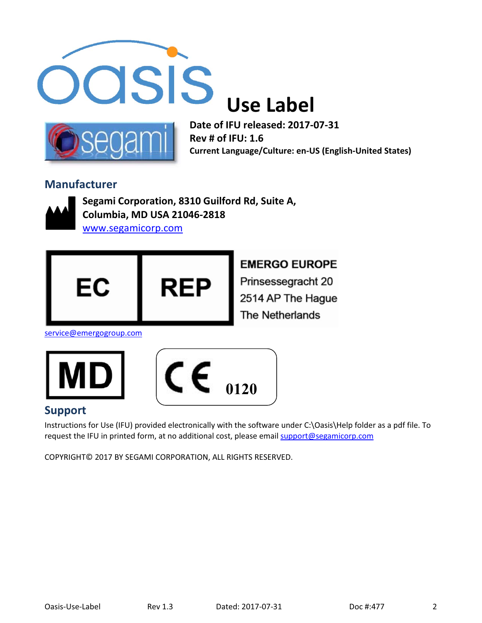



**Date of IFU released: 2017-07-31 Rev # of IFU: 1.6 Current Language/Culture: en-US (English-United States)** 

#### **Manufacturer**



**Segami Corporation, 8310 Guilford Rd, Suite A, Columbia, MD USA 21046-2818** www.segamicorp.com



**EMERGO EUROPE** 

Prinsessegracht 20 2514 AP The Hague The Netherlands

service@emergogroup.com





### **Support**

Instructions for Use (IFU) provided electronically with the software under C:\Oasis\Help folder as a pdf file. To request the IFU in printed form, at no additional cost, please email support@segamicorp.com

COPYRIGHT© 2017 BY SEGAMI CORPORATION, ALL RIGHTS RESERVED.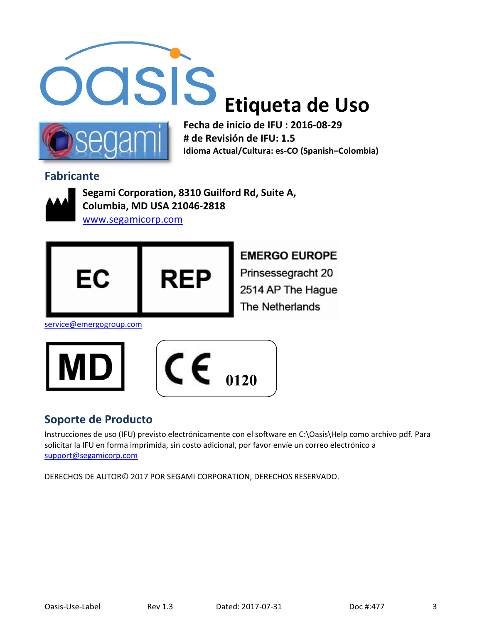



**Fecha de inicio de IFU : 2016-08-29 # de Revisión de IFU: 1.5 Idioma Actual/Cultura: es-CO (Spanish–Colombia)** 

### **Fabricante**



**Segami Corporation, 8310 Guilford Rd, Suite A, Columbia, MD USA 21046-2818**

www.segamicorp.com



**EMERGO EUROPE** Prinsessegracht 20 2514 AP The Hague The Netherlands

service@emergogroup.com





### **Soporte de Producto**

Instrucciones de uso (IFU) previsto electrónicamente con el software en C:\Oasis\Help como archivo pdf. Para solicitar la IFU en forma imprimida, sin costo adicional, por favor envíe un correo electrónico a support@segamicorp.com

DERECHOS DE AUTOR© 2017 POR SEGAMI CORPORATION, DERECHOS RESERVADO.